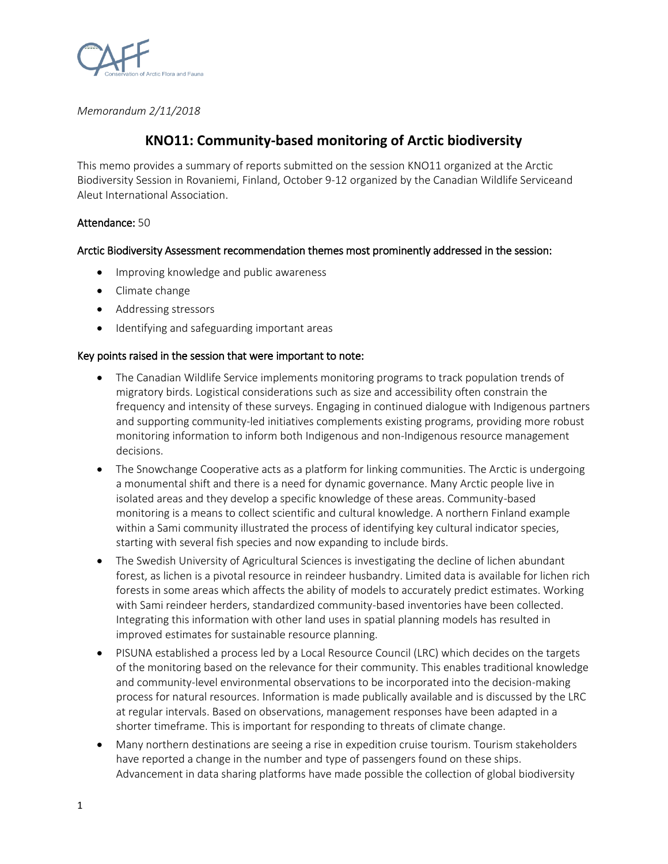

*Memorandum 2/11/2018*

# **KNO11: Community-based monitoring of Arctic biodiversity**

This memo provides a summary of reports submitted on the session KNO11 organized at the Arctic Biodiversity Session in Rovaniemi, Finland, October 9-12 organized by the Canadian Wildlife Serviceand Aleut International Association.

## Attendance: 50

# Arctic Biodiversity Assessment recommendation themes most prominently addressed in the session:

- Improving knowledge and public awareness
- Climate change
- Addressing stressors
- Identifying and safeguarding important areas

## Key points raised in the session that were important to note:

- The Canadian Wildlife Service implements monitoring programs to track population trends of migratory birds. Logistical considerations such as size and accessibility often constrain the frequency and intensity of these surveys. Engaging in continued dialogue with Indigenous partners and supporting community-led initiatives complements existing programs, providing more robust monitoring information to inform both Indigenous and non-Indigenous resource management decisions.
- The Snowchange Cooperative acts as a platform for linking communities. The Arctic is undergoing a monumental shift and there is a need for dynamic governance. Many Arctic people live in isolated areas and they develop a specific knowledge of these areas. Community-based monitoring is a means to collect scientific and cultural knowledge. A northern Finland example within a Sami community illustrated the process of identifying key cultural indicator species, starting with several fish species and now expanding to include birds.
- The Swedish University of Agricultural Sciences is investigating the decline of lichen abundant forest, as lichen is a pivotal resource in reindeer husbandry. Limited data is available for lichen rich forests in some areas which affects the ability of models to accurately predict estimates. Working with Sami reindeer herders, standardized community-based inventories have been collected. Integrating this information with other land uses in spatial planning models has resulted in improved estimates for sustainable resource planning.
- PISUNA established a process led by a Local Resource Council (LRC) which decides on the targets of the monitoring based on the relevance for their community. This enables traditional knowledge and community-level environmental observations to be incorporated into the decision-making process for natural resources. Information is made publically available and is discussed by the LRC at regular intervals. Based on observations, management responses have been adapted in a shorter timeframe. This is important for responding to threats of climate change.
- Many northern destinations are seeing a rise in expedition cruise tourism. Tourism stakeholders have reported a change in the number and type of passengers found on these ships. Advancement in data sharing platforms have made possible the collection of global biodiversity